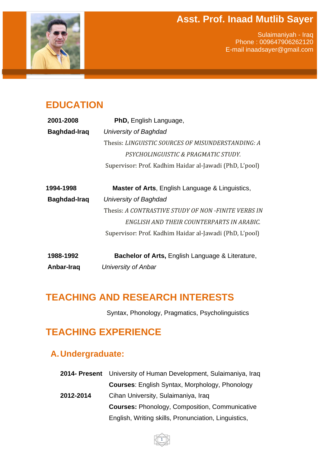#### **Asst. Prof. Inaad Mutlib Sayer**



Sulaimaniyah - Iraq Phone : 009647906262120 E-mail inaadsayer@gmail.com

### **EDUCATION**

| 2001-2008    | <b>PhD, English Language,</b>                               |
|--------------|-------------------------------------------------------------|
| Baghdad-Iraq | University of Baghdad                                       |
|              | Thesis: LINGUISTIC SOURCES OF MISUNDERSTANDING: A           |
|              | PSYCHOLINGUISTIC & PRAGMATIC STUDY.                         |
|              | Supervisor: Prof. Kadhim Haidar al-Jawadi (PhD, L'pool)     |
| 1994-1998    | <b>Master of Arts, English Language &amp; Linguistics,</b>  |
| Baghdad-Iraq | University of Baghdad                                       |
|              | Thesis: A CONTRASTIVE STUDY OF NON-FINITE VERBS IN          |
|              | ENGLISH AND THEIR COUNTERPARTS IN ARABIC.                   |
|              | Supervisor: Prof. Kadhim Haidar al-Jawadi (PhD, L'pool)     |
| 1988-1992    | <b>Bachelor of Arts, English Language &amp; Literature,</b> |
| Anbar-Iraq   | University of Anbar                                         |

#### **TEACHING AND RESEARCH INTERESTS**

Syntax, Phonology, Pragmatics, Psycholinguistics

### **TEACHING EXPERIENCE**

#### **A.Undergraduate:**

**2014- Present** University of Human Development, Sulaimaniya, Iraq **Courses**: English Syntax, Morphology, Phonology **2012-2014** Cihan University, Sulaimaniya, Iraq **Courses:** Phonology, Composition, Communicative English, Writing skills, Pronunciation, Linguistics,

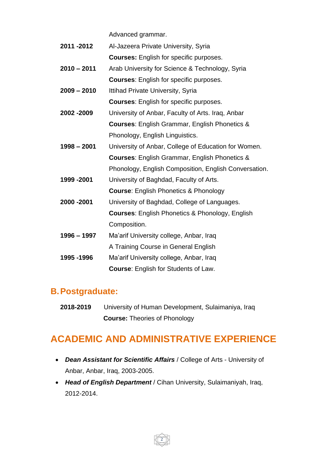Advanced grammar.

- **2011 -2012** Al-Jazeera Private University, Syria **Courses:** English for specific purposes.
- **2010 – 2011** Arab University for Science & Technology, Syria **Courses**: English for specific purposes.

**2009 – 2010** Ittihad Private University, Syria

**Courses**: English for specific purposes.

- **2002 -2009** University of Anbar, Faculty of Arts. Iraq, Anbar **Courses**: English Grammar, English Phonetics & Phonology, English Linguistics.
- **1998 – 2001** University of Anbar, College of Education for Women. **Courses**: English Grammar, English Phonetics & Phonology, English Composition, English Conversation.
- **1999 -2001** University of Baghdad, Faculty of Arts.
	- **Course**: English Phonetics & Phonology
- **2000 -2001** University of Baghdad, College of Languages. **Courses**: English Phonetics & Phonology, English Composition.
- **1996 – 1997** Ma'arif University college, Anbar, Iraq A Training Course in General English
- **1995 -1996** Ma'arif University college, Anbar, Iraq **Course**: English for Students of Law.

#### **B.Postgraduate:**

**2018-2019** University of Human Development, Sulaimaniya, Iraq  **Course:** Theories of Phonology

## **ACADEMIC AND ADMINISTRATIVE EXPERIENCE**

- *Dean Assistant for Scientific Affairs* / College of Arts University of Anbar, Anbar, Iraq, 2003-2005.
- *Head of English Department* / Cihan University, Sulaimaniyah, Iraq, 2012-2014.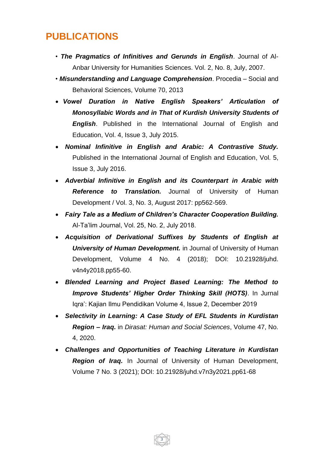### **PUBLICATIONS**

- *The Pragmatics of Infinitives and Gerunds in English*. Journal of Al-Anbar University for Humanities Sciences. Vol. 2, No. 8, July, 2007.
- *Misunderstanding and Language Comprehension*. Procedia Social and Behavioral Sciences, Volume 70, 2013
- *Vowel Duration in Native English Speakers' Articulation of Monosyllabic Words and in That of Kurdish University Students of English*. Published in the International Journal of English and Education, Vol. 4, Issue 3, July 2015.
- *Nominal Infinitive in English and Arabic: A Contrastive Study.*  Published in the International Journal of English and Education, Vol. 5, Issue 3, July 2016.
- *Adverbial Infinitive in English and its Counterpart in Arabic with Reference to Translation.* Journal of University of Human Development / Vol. 3, No. 3, August 2017: pp562-569.
- *Fairy Tale as a Medium of Children's Character Cooperation Building.*  Al-Ta'lim Journal, Vol. 25, No. 2, July 2018.
- *Acquisition of Derivational Suffixes by Students of English at University of Human Development.* in Journal of University of Human Development, Volume 4 No. 4 (2018); DOI: 10.21928/juhd. v4n4y2018.pp55-60.
- *Blended Learning and Project Based Learning: The Method to Improve Students' Higher Order Thinking Skill (HOTS)*. In Jurnal Iqra': Kajian Ilmu Pendidikan Volume 4, Issue 2, December 2019
- *Selectivity in Learning: A Case Study of EFL Students in Kurdistan Region – Iraq.* in *Dirasat: Human and Social Sciences*, Volume 47, No. 4, 2020.
- *Challenges and Opportunities of Teaching Literature in Kurdistan Region of Iraq.* In Journal of University of Human Development, Volume 7 No. 3 (2021); DOI: 10.21928/juhd.v7n3y2021.pp61-68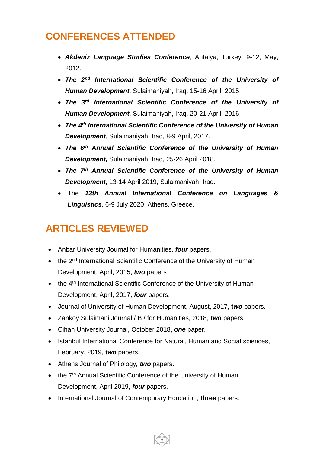# **CONFERENCES ATTENDED**

- *Akdeniz Language Studies Conference*, Antalya, Turkey, 9-12, May, 2012.
- **•** The 2<sup>nd</sup> International Scientific Conference of the University of *Human Development*, Sulaimaniyah, Iraq, 15-16 April, 2015.
- *The 3 rd International Scientific Conference of the University of Human Development*, Sulaimaniyah, Iraq, 20-21 April, 2016.
- *The 4 th International Scientific Conference of the University of Human Development*, Sulaimaniyah, Iraq, 8-9 April, 2017.
- *The 6th Annual Scientific Conference of the University of Human Development,* Sulaimaniyah, Iraq, 25-26 April 2018.
- *The 7th Annual Scientific Conference of the University of Human Development,* 13-14 April 2019, Sulaimaniyah, Iraq.
- The *13th Annual International Conference on Languages & Linguistics*, 6-9 July 2020, Athens, Greece.

# **ARTICLES REVIEWED**

- Anbar University Journal for Humanities, *four* papers.
- the 2<sup>nd</sup> International Scientific Conference of the University of Human Development, April, 2015, *two* papers
- the 4<sup>th</sup> International Scientific Conference of the University of Human Development, April, 2017, *four* papers.
- Journal of University of Human Development, August, 2017, **t***wo* papers.
- Zankoy Sulaimani Journal / B / for Humanities, 2018, *two* papers.
- Cihan University Journal, October 2018, *one* paper.
- Istanbul International Conference for Natural, Human and Social sciences, February, 2019, *two* papers.

- Athens Journal of Philology*, two* papers.
- the 7<sup>th</sup> Annual Scientific Conference of the University of Human Development, April 2019, *four* papers.
- International Journal of Contemporary Education, **three** papers.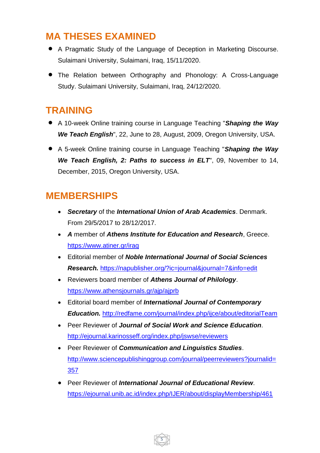## **MA THESES EXAMINED**

- A Pragmatic Study of the Language of Deception in Marketing Discourse. Sulaimani University, Sulaimani, Iraq, 15/11/2020.
- The Relation between Orthography and Phonology: A Cross-Language Study. Sulaimani University, Sulaimani, Iraq, 24/12/2020.

## **TRAINING**

- A 10-week Online training course in Language Teaching "*Shaping the Way We Teach English*", 22, June to 28, August, 2009, Oregon University, USA.
- A 5-week Online training course in Language Teaching "*Shaping the Way We Teach English, 2: Paths to success in ELT*", 09, November to 14, December, 2015, Oregon University, USA.

## **MEMBERSHIPS**

- *Secretary* of the *International Union of Arab Academics*. Denmark. From 29/5/2017 to 28/12/2017.
- *A* member of *Athens Institute for Education and Research*, Greece. <https://www.atiner.gr/iraq>
- Editorial member of *Noble International Journal of Social Sciences Research.* <https://napublisher.org/?ic=journal&journal=7&info=edit>
- Reviewers board member of *Athens Journal of Philology*. <https://www.athensjournals.gr/ajp/ajprb>
- Editorial board member of *International Journal of Contemporary Education.* <http://redfame.com/journal/index.php/ijce/about/editorialTeam>
- Peer Reviewer of *Journal of Social Work and Science Education*. <http://ejournal.karinosseff.org/index.php/jswse/reviewers>
- Peer Reviewer of *Communication and Linguistics Studies*. [http://www.sciencepublishinggroup.com/journal/peerreviewers?journalid=](http://www.sciencepublishinggroup.com/journal/peerreviewers?journalid=357) [357](http://www.sciencepublishinggroup.com/journal/peerreviewers?journalid=357)
- Peer Reviewer of *International Journal of Educational Review*. <https://ejournal.unib.ac.id/index.php/IJER/about/displayMembership/461>